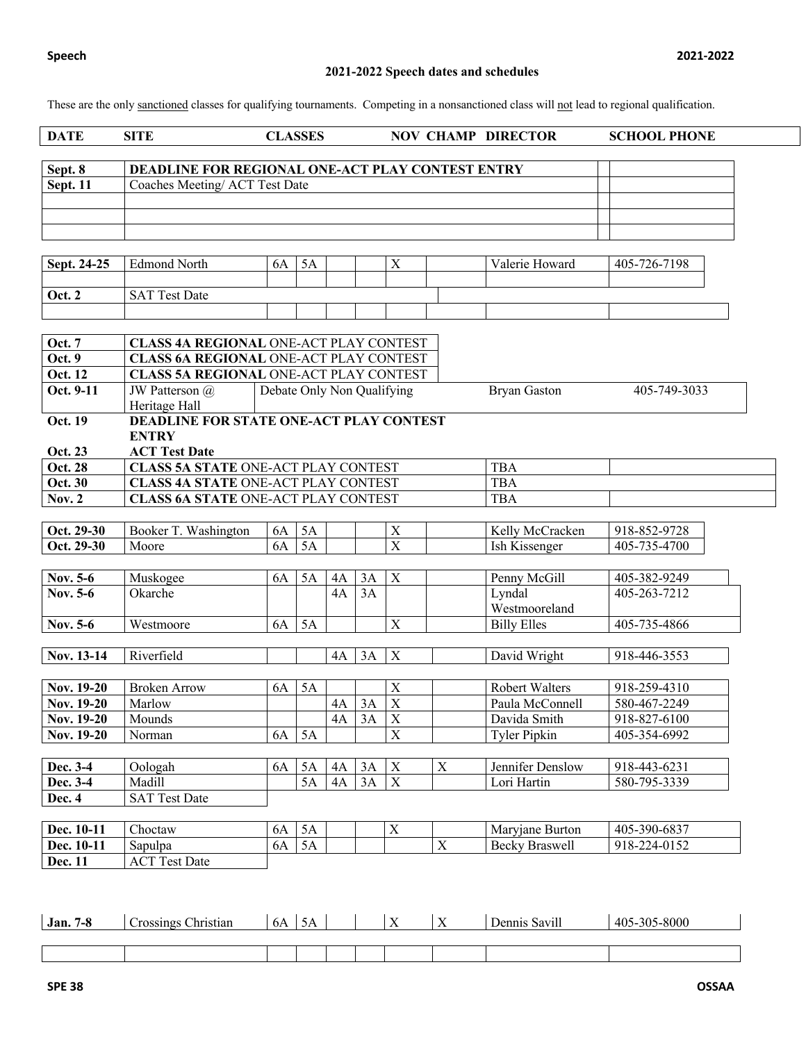# **2021-2022 Speech dates and schedules**

These are the only sanctioned classes for qualifying tournaments. Competing in a nonsanctioned class will not lead to regional qualification.

|  | DATE | SITE | <b>LASSES</b> | <b>DIRECTOR</b><br>CHAMP<br>NOV | <b>SCHOOL PHONE</b> |  |
|--|------|------|---------------|---------------------------------|---------------------|--|
|--|------|------|---------------|---------------------------------|---------------------|--|

| Sept. 8  | DEADLINE FOR REGIONAL ONE-ACT PLAY CONTEST ENTRY |  |
|----------|--------------------------------------------------|--|
| Sept. 11 | Coaches Meeting/ACT Test Date                    |  |
|          |                                                  |  |
|          |                                                  |  |
|          |                                                  |  |

| Sept. 24-25   | <b>Edmond North</b>  | 6A | ЭA |  | $\mathbf{v}$<br>$\overline{1}$ | Valerie Howard | 405-726-7198 |
|---------------|----------------------|----|----|--|--------------------------------|----------------|--------------|
|               |                      |    |    |  |                                |                |              |
| <b>Oct. 2</b> | <b>SAT Test Date</b> |    |    |  |                                |                |              |
|               |                      |    |    |  |                                |                |              |

| <b>Oct. 7</b>  | <b>CLASS 4A REGIONAL ONE-ACT PLAY CONTEST</b>  |           |    |    |    |                            |             |                       |              |  |  |  |  |
|----------------|------------------------------------------------|-----------|----|----|----|----------------------------|-------------|-----------------------|--------------|--|--|--|--|
| Oct. 9         | <b>CLASS 6A REGIONAL ONE-ACT PLAY CONTEST</b>  |           |    |    |    |                            |             |                       |              |  |  |  |  |
| Oct. 12        | <b>CLASS 5A REGIONAL ONE-ACT PLAY CONTEST</b>  |           |    |    |    |                            |             |                       |              |  |  |  |  |
| Oct. 9-11      | JW Patterson @                                 |           |    |    |    | Debate Only Non Qualifying |             | <b>Bryan Gaston</b>   | 405-749-3033 |  |  |  |  |
|                | Heritage Hall                                  |           |    |    |    |                            |             |                       |              |  |  |  |  |
| Oct. 19        | <b>DEADLINE FOR STATE ONE-ACT PLAY CONTEST</b> |           |    |    |    |                            |             |                       |              |  |  |  |  |
|                | <b>ENTRY</b>                                   |           |    |    |    |                            |             |                       |              |  |  |  |  |
| Oct. 23        | <b>ACT Test Date</b>                           |           |    |    |    |                            |             |                       |              |  |  |  |  |
| <b>Oct. 28</b> | <b>CLASS 5A STATE ONE-ACT PLAY CONTEST</b>     |           |    |    |    |                            |             | <b>TBA</b>            |              |  |  |  |  |
| <b>Oct. 30</b> | <b>CLASS 4A STATE ONE-ACT PLAY CONTEST</b>     |           |    |    |    |                            |             | <b>TBA</b>            |              |  |  |  |  |
| <b>Nov. 2</b>  | <b>CLASS 6A STATE ONE-ACT PLAY CONTEST</b>     |           |    |    |    |                            |             | <b>TBA</b>            |              |  |  |  |  |
|                |                                                |           |    |    |    |                            |             |                       |              |  |  |  |  |
| Oct. 29-30     | Booker T. Washington                           | 6A        | 5A |    |    | X                          |             | Kelly McCracken       | 918-852-9728 |  |  |  |  |
| Oct. 29-30     | Moore                                          | 6A        | 5A |    |    | $\overline{\mathbf{X}}$    |             | Ish Kissenger         | 405-735-4700 |  |  |  |  |
|                |                                                |           |    |    |    |                            |             |                       |              |  |  |  |  |
| Nov. 5-6       | Muskogee                                       | 6A        | 5A | 4A | 3A | X                          |             | Penny McGill          | 405-382-9249 |  |  |  |  |
| Nov. 5-6       | Okarche                                        |           |    | 4A | 3A |                            |             | Lyndal                | 405-263-7212 |  |  |  |  |
|                |                                                |           |    |    |    |                            |             | Westmooreland         |              |  |  |  |  |
| Nov. 5-6       | Westmoore                                      | <b>6A</b> | 5A |    |    | X                          |             | <b>Billy Elles</b>    | 405-735-4866 |  |  |  |  |
|                |                                                |           |    |    |    |                            |             |                       |              |  |  |  |  |
| Nov. 13-14     | Riverfield                                     |           |    | 4A | 3A | X                          |             | David Wright          | 918-446-3553 |  |  |  |  |
|                |                                                |           |    |    |    |                            |             |                       |              |  |  |  |  |
| Nov. 19-20     | <b>Broken Arrow</b>                            | 6A        | 5A |    |    | $\mathbf X$                |             | <b>Robert Walters</b> | 918-259-4310 |  |  |  |  |
| Nov. 19-20     | Marlow                                         |           |    | 4A | 3A | $\overline{X}$             |             | Paula McConnell       | 580-467-2249 |  |  |  |  |
| Nov. 19-20     | Mounds                                         |           |    | 4A | 3A | $\mathbf X$                |             | Davida Smith          | 918-827-6100 |  |  |  |  |
| Nov. 19-20     | Norman                                         | 6A        | 5A |    |    | $\overline{\mathrm{X}}$    |             | <b>Tyler Pipkin</b>   | 405-354-6992 |  |  |  |  |
|                |                                                |           |    |    |    |                            |             |                       |              |  |  |  |  |
| Dec. 3-4       | Oologah                                        | 6A        | 5A | 4A | 3A | $\boldsymbol{\mathrm{X}}$  | $\mathbf X$ | Jennifer Denslow      | 918-443-6231 |  |  |  |  |
| Dec. 3-4       | Madill                                         |           | 5A | 4A | 3A | $\overline{X}$             |             | Lori Hartin           | 580-795-3339 |  |  |  |  |
| Dec. 4         | <b>SAT Test Date</b>                           |           |    |    |    |                            |             |                       |              |  |  |  |  |
|                |                                                |           |    |    |    |                            |             |                       |              |  |  |  |  |
| Dec. 10-11     | Choctaw                                        | 6A        | 5A |    |    | $\mathbf X$                |             | Maryjane Burton       | 405-390-6837 |  |  |  |  |
| Dec. 10-11     | Sapulpa                                        | <b>6A</b> | 5A |    |    |                            | X           | <b>Becky Braswell</b> | 918-224-0152 |  |  |  |  |
| Dec. 11        | <b>ACT</b> Test Date                           |           |    |    |    |                            |             |                       |              |  |  |  |  |

| 70<br>Jan<br>7-0 | $\sim$<br>hristian/<br>rossings | -6A | $\overline{\phantom{0}}$<br>ັ້ |  | $\mathbf{r}$<br>. . | $\mathbf{v}$<br>$\overline{1}$ | $\cdots$<br>$\sim$<br>Savil.<br>Jennis. | 405-305-8000 |
|------------------|---------------------------------|-----|--------------------------------|--|---------------------|--------------------------------|-----------------------------------------|--------------|
|                  |                                 |     |                                |  |                     |                                |                                         |              |
|                  |                                 |     |                                |  |                     |                                |                                         |              |